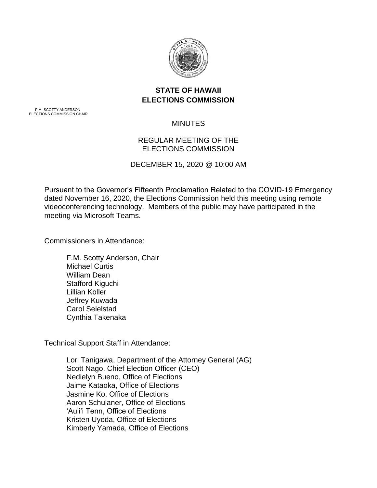

## **STATE OF HAWAII ELECTIONS COMMISSION**

F.M. SCOTTY ANDERSON ELECTIONS COMMISSION CHAIR

# MINUTES

## REGULAR MEETING OF THE ELECTIONS COMMISSION

### DECEMBER 15, 2020 @ 10:00 AM

Pursuant to the Governor's Fifteenth Proclamation Related to the COVID-19 Emergency dated November 16, 2020, the Elections Commission held this meeting using remote videoconferencing technology. Members of the public may have participated in the meeting via Microsoft Teams.

Commissioners in Attendance:

F.M. Scotty Anderson, Chair Michael Curtis William Dean Stafford Kiguchi Lillian Koller Jeffrey Kuwada Carol Seielstad Cynthia Takenaka

Technical Support Staff in Attendance:

Lori Tanigawa, Department of the Attorney General (AG) Scott Nago, Chief Election Officer (CEO) Nedielyn Bueno, Office of Elections Jaime Kataoka, Office of Elections Jasmine Ko, Office of Elections Aaron Schulaner, Office of Elections 'Auli'i Tenn, Office of Elections Kristen Uyeda, Office of Elections Kimberly Yamada, Office of Elections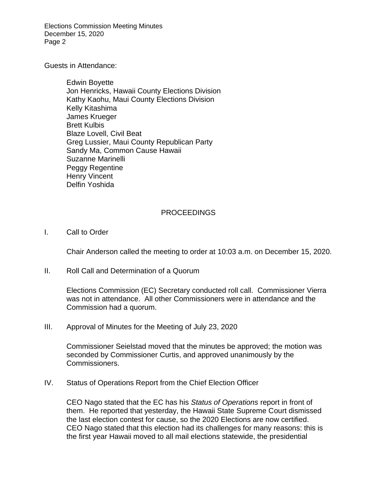Elections Commission Meeting Minutes December 15, 2020 Page 2

Guests in Attendance:

Edwin Boyette Jon Henricks, Hawaii County Elections Division Kathy Kaohu, Maui County Elections Division Kelly Kitashima James Krueger Brett Kulbis Blaze Lovell, Civil Beat Greg Lussier, Maui County Republican Party Sandy Ma, Common Cause Hawaii Suzanne Marinelli Peggy Regentine Henry Vincent Delfin Yoshida

#### PROCEEDINGS

I. Call to Order

Chair Anderson called the meeting to order at 10:03 a.m. on December 15, 2020.

II. Roll Call and Determination of a Quorum

Elections Commission (EC) Secretary conducted roll call. Commissioner Vierra was not in attendance. All other Commissioners were in attendance and the Commission had a quorum.

III. Approval of Minutes for the Meeting of July 23, 2020

Commissioner Seielstad moved that the minutes be approved; the motion was seconded by Commissioner Curtis, and approved unanimously by the Commissioners.

IV. Status of Operations Report from the Chief Election Officer

CEO Nago stated that the EC has his *Status of Operations* report in front of them. He reported that yesterday, the Hawaii State Supreme Court dismissed the last election contest for cause, so the 2020 Elections are now certified. CEO Nago stated that this election had its challenges for many reasons: this is the first year Hawaii moved to all mail elections statewide, the presidential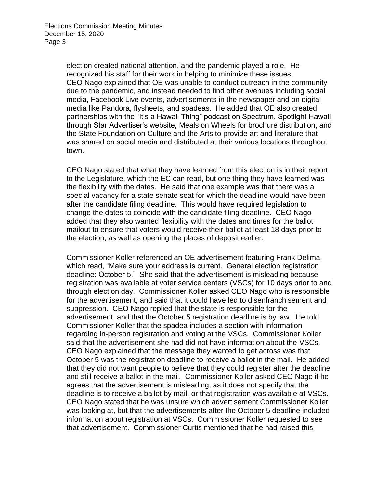election created national attention, and the pandemic played a role. He recognized his staff for their work in helping to minimize these issues. CEO Nago explained that OE was unable to conduct outreach in the community due to the pandemic, and instead needed to find other avenues including social media, Facebook Live events, advertisements in the newspaper and on digital media like Pandora, flysheets, and spadeas. He added that OE also created partnerships with the "It's a Hawaii Thing" podcast on Spectrum, Spotlight Hawaii through Star Advertiser's website, Meals on Wheels for brochure distribution, and the State Foundation on Culture and the Arts to provide art and literature that was shared on social media and distributed at their various locations throughout town.

CEO Nago stated that what they have learned from this election is in their report to the Legislature, which the EC can read, but one thing they have learned was the flexibility with the dates. He said that one example was that there was a special vacancy for a state senate seat for which the deadline would have been after the candidate filing deadline. This would have required legislation to change the dates to coincide with the candidate filing deadline. CEO Nago added that they also wanted flexibility with the dates and times for the ballot mailout to ensure that voters would receive their ballot at least 18 days prior to the election, as well as opening the places of deposit earlier.

Commissioner Koller referenced an OE advertisement featuring Frank Delima, which read, "Make sure your address is current. General election registration deadline: October 5." She said that the advertisement is misleading because registration was available at voter service centers (VSCs) for 10 days prior to and through election day. Commissioner Koller asked CEO Nago who is responsible for the advertisement, and said that it could have led to disenfranchisement and suppression. CEO Nago replied that the state is responsible for the advertisement, and that the October 5 registration deadline is by law. He told Commissioner Koller that the spadea includes a section with information regarding in-person registration and voting at the VSCs. Commissioner Koller said that the advertisement she had did not have information about the VSCs. CEO Nago explained that the message they wanted to get across was that October 5 was the registration deadline to receive a ballot in the mail. He added that they did not want people to believe that they could register after the deadline and still receive a ballot in the mail. Commissioner Koller asked CEO Nago if he agrees that the advertisement is misleading, as it does not specify that the deadline is to receive a ballot by mail, or that registration was available at VSCs. CEO Nago stated that he was unsure which advertisement Commissioner Koller was looking at, but that the advertisements after the October 5 deadline included information about registration at VSCs. Commissioner Koller requested to see that advertisement. Commissioner Curtis mentioned that he had raised this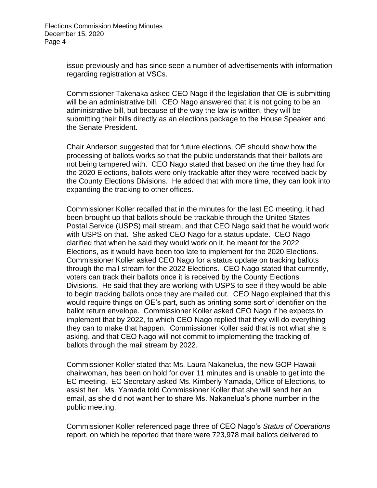issue previously and has since seen a number of advertisements with information regarding registration at VSCs.

Commissioner Takenaka asked CEO Nago if the legislation that OE is submitting will be an administrative bill. CEO Nago answered that it is not going to be an administrative bill, but because of the way the law is written, they will be submitting their bills directly as an elections package to the House Speaker and the Senate President.

Chair Anderson suggested that for future elections, OE should show how the processing of ballots works so that the public understands that their ballots are not being tampered with. CEO Nago stated that based on the time they had for the 2020 Elections, ballots were only trackable after they were received back by the County Elections Divisions. He added that with more time, they can look into expanding the tracking to other offices.

Commissioner Koller recalled that in the minutes for the last EC meeting, it had been brought up that ballots should be trackable through the United States Postal Service (USPS) mail stream, and that CEO Nago said that he would work with USPS on that. She asked CEO Nago for a status update. CEO Nago clarified that when he said they would work on it, he meant for the 2022 Elections, as it would have been too late to implement for the 2020 Elections. Commissioner Koller asked CEO Nago for a status update on tracking ballots through the mail stream for the 2022 Elections. CEO Nago stated that currently, voters can track their ballots once it is received by the County Elections Divisions. He said that they are working with USPS to see if they would be able to begin tracking ballots once they are mailed out. CEO Nago explained that this would require things on OE's part, such as printing some sort of identifier on the ballot return envelope. Commissioner Koller asked CEO Nago if he expects to implement that by 2022, to which CEO Nago replied that they will do everything they can to make that happen. Commissioner Koller said that is not what she is asking, and that CEO Nago will not commit to implementing the tracking of ballots through the mail stream by 2022.

Commissioner Koller stated that Ms. Laura Nakanelua, the new GOP Hawaii chairwoman, has been on hold for over 11 minutes and is unable to get into the EC meeting. EC Secretary asked Ms. Kimberly Yamada, Office of Elections, to assist her. Ms. Yamada told Commissioner Koller that she will send her an email, as she did not want her to share Ms. Nakanelua's phone number in the public meeting.

Commissioner Koller referenced page three of CEO Nago's *Status of Operations* report, on which he reported that there were 723,978 mail ballots delivered to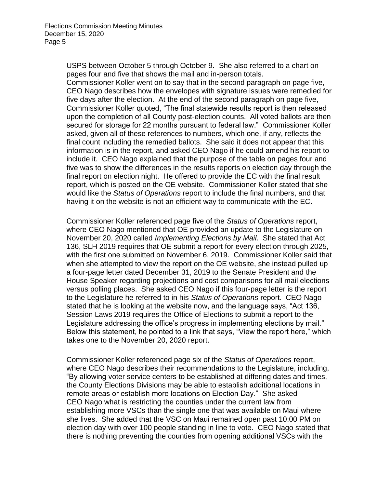USPS between October 5 through October 9. She also referred to a chart on pages four and five that shows the mail and in-person totals.

Commissioner Koller went on to say that in the second paragraph on page five, CEO Nago describes how the envelopes with signature issues were remedied for five days after the election. At the end of the second paragraph on page five, Commissioner Koller quoted, "The final statewide results report is then released upon the completion of all County post-election counts. All voted ballots are then secured for storage for 22 months pursuant to federal law." Commissioner Koller asked, given all of these references to numbers, which one, if any, reflects the final count including the remedied ballots. She said it does not appear that this information is in the report, and asked CEO Nago if he could amend his report to include it. CEO Nago explained that the purpose of the table on pages four and five was to show the differences in the results reports on election day through the final report on election night. He offered to provide the EC with the final result report, which is posted on the OE website. Commissioner Koller stated that she would like the *Status of Operations* report to include the final numbers, and that having it on the website is not an efficient way to communicate with the EC.

Commissioner Koller referenced page five of the *Status of Operations* report, where CEO Nago mentioned that OE provided an update to the Legislature on November 20, 2020 called *Implementing Elections by Mail*. She stated that Act 136, SLH 2019 requires that OE submit a report for every election through 2025, with the first one submitted on November 6, 2019. Commissioner Koller said that when she attempted to view the report on the OE website, she instead pulled up a four-page letter dated December 31, 2019 to the Senate President and the House Speaker regarding projections and cost comparisons for all mail elections versus polling places. She asked CEO Nago if this four-page letter is the report to the Legislature he referred to in his *Status of Operations* report. CEO Nago stated that he is looking at the website now, and the language says, "Act 136, Session Laws 2019 requires the Office of Elections to submit a report to the Legislature addressing the office's progress in implementing elections by mail." Below this statement, he pointed to a link that says, "View the report here," which takes one to the November 20, 2020 report.

Commissioner Koller referenced page six of the *Status of Operations* report, where CEO Nago describes their recommendations to the Legislature, including, "By allowing voter service centers to be established at differing dates and times, the County Elections Divisions may be able to establish additional locations in remote areas or establish more locations on Election Day." She asked CEO Nago what is restricting the counties under the current law from establishing more VSCs than the single one that was available on Maui where she lives. She added that the VSC on Maui remained open past 10:00 PM on election day with over 100 people standing in line to vote. CEO Nago stated that there is nothing preventing the counties from opening additional VSCs with the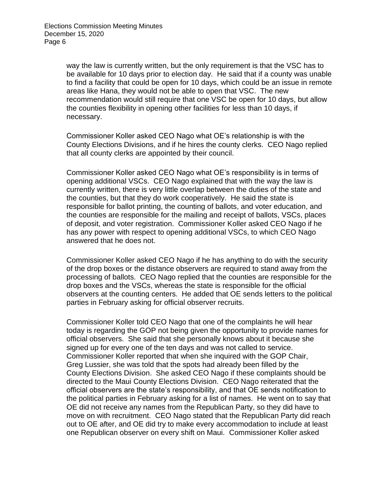way the law is currently written, but the only requirement is that the VSC has to be available for 10 days prior to election day. He said that if a county was unable to find a facility that could be open for 10 days, which could be an issue in remote areas like Hana, they would not be able to open that VSC. The new recommendation would still require that one VSC be open for 10 days, but allow the counties flexibility in opening other facilities for less than 10 days, if necessary.

Commissioner Koller asked CEO Nago what OE's relationship is with the County Elections Divisions, and if he hires the county clerks. CEO Nago replied that all county clerks are appointed by their council.

Commissioner Koller asked CEO Nago what OE's responsibility is in terms of opening additional VSCs. CEO Nago explained that with the way the law is currently written, there is very little overlap between the duties of the state and the counties, but that they do work cooperatively. He said the state is responsible for ballot printing, the counting of ballots, and voter education, and the counties are responsible for the mailing and receipt of ballots, VSCs, places of deposit, and voter registration. Commissioner Koller asked CEO Nago if he has any power with respect to opening additional VSCs, to which CEO Nago answered that he does not.

Commissioner Koller asked CEO Nago if he has anything to do with the security of the drop boxes or the distance observers are required to stand away from the processing of ballots. CEO Nago replied that the counties are responsible for the drop boxes and the VSCs, whereas the state is responsible for the official observers at the counting centers. He added that OE sends letters to the political parties in February asking for official observer recruits.

Commissioner Koller told CEO Nago that one of the complaints he will hear today is regarding the GOP not being given the opportunity to provide names for official observers. She said that she personally knows about it because she signed up for every one of the ten days and was not called to service. Commissioner Koller reported that when she inquired with the GOP Chair, Greg Lussier, she was told that the spots had already been filled by the County Elections Division. She asked CEO Nago if these complaints should be directed to the Maui County Elections Division. CEO Nago reiterated that the official observers are the state's responsibility, and that OE sends notification to the political parties in February asking for a list of names. He went on to say that OE did not receive any names from the Republican Party, so they did have to move on with recruitment. CEO Nago stated that the Republican Party did reach out to OE after, and OE did try to make every accommodation to include at least one Republican observer on every shift on Maui. Commissioner Koller asked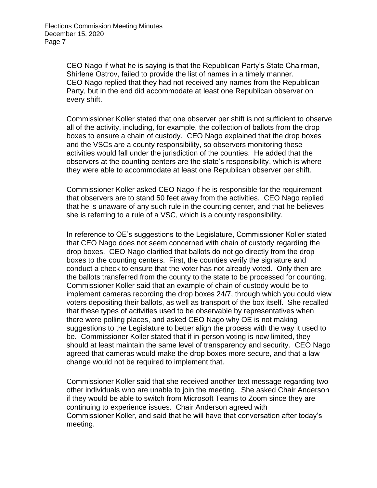CEO Nago if what he is saying is that the Republican Party's State Chairman, Shirlene Ostrov, failed to provide the list of names in a timely manner. CEO Nago replied that they had not received any names from the Republican Party, but in the end did accommodate at least one Republican observer on every shift.

Commissioner Koller stated that one observer per shift is not sufficient to observe all of the activity, including, for example, the collection of ballots from the drop boxes to ensure a chain of custody. CEO Nago explained that the drop boxes and the VSCs are a county responsibility, so observers monitoring these activities would fall under the jurisdiction of the counties. He added that the observers at the counting centers are the state's responsibility, which is where they were able to accommodate at least one Republican observer per shift.

Commissioner Koller asked CEO Nago if he is responsible for the requirement that observers are to stand 50 feet away from the activities. CEO Nago replied that he is unaware of any such rule in the counting center, and that he believes she is referring to a rule of a VSC, which is a county responsibility.

In reference to OE's suggestions to the Legislature, Commissioner Koller stated that CEO Nago does not seem concerned with chain of custody regarding the drop boxes. CEO Nago clarified that ballots do not go directly from the drop boxes to the counting centers. First, the counties verify the signature and conduct a check to ensure that the voter has not already voted. Only then are the ballots transferred from the county to the state to be processed for counting. Commissioner Koller said that an example of chain of custody would be to implement cameras recording the drop boxes 24/7, through which you could view voters depositing their ballots, as well as transport of the box itself. She recalled that these types of activities used to be observable by representatives when there were polling places, and asked CEO Nago why OE is not making suggestions to the Legislature to better align the process with the way it used to be. Commissioner Koller stated that if in-person voting is now limited, they should at least maintain the same level of transparency and security. CEO Nago agreed that cameras would make the drop boxes more secure, and that a law change would not be required to implement that.

Commissioner Koller said that she received another text message regarding two other individuals who are unable to join the meeting. She asked Chair Anderson if they would be able to switch from Microsoft Teams to Zoom since they are continuing to experience issues. Chair Anderson agreed with Commissioner Koller, and said that he will have that conversation after today's meeting.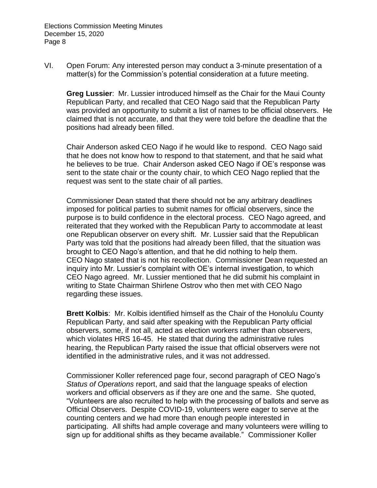VI. Open Forum: Any interested person may conduct a 3-minute presentation of a matter(s) for the Commission's potential consideration at a future meeting.

**Greg Lussier**: Mr. Lussier introduced himself as the Chair for the Maui County Republican Party, and recalled that CEO Nago said that the Republican Party was provided an opportunity to submit a list of names to be official observers. He claimed that is not accurate, and that they were told before the deadline that the positions had already been filled.

Chair Anderson asked CEO Nago if he would like to respond. CEO Nago said that he does not know how to respond to that statement, and that he said what he believes to be true. Chair Anderson asked CEO Nago if OE's response was sent to the state chair or the county chair, to which CEO Nago replied that the request was sent to the state chair of all parties.

Commissioner Dean stated that there should not be any arbitrary deadlines imposed for political parties to submit names for official observers, since the purpose is to build confidence in the electoral process. CEO Nago agreed, and reiterated that they worked with the Republican Party to accommodate at least one Republican observer on every shift. Mr. Lussier said that the Republican Party was told that the positions had already been filled, that the situation was brought to CEO Nago's attention, and that he did nothing to help them. CEO Nago stated that is not his recollection. Commissioner Dean requested an inquiry into Mr. Lussier's complaint with OE's internal investigation, to which CEO Nago agreed. Mr. Lussier mentioned that he did submit his complaint in writing to State Chairman Shirlene Ostrov who then met with CEO Nago regarding these issues.

**Brett Kolbis**: Mr. Kolbis identified himself as the Chair of the Honolulu County Republican Party, and said after speaking with the Republican Party official observers, some, if not all, acted as election workers rather than observers, which violates HRS 16-45. He stated that during the administrative rules hearing, the Republican Party raised the issue that official observers were not identified in the administrative rules, and it was not addressed.

Commissioner Koller referenced page four, second paragraph of CEO Nago's *Status of Operations* report, and said that the language speaks of election workers and official observers as if they are one and the same. She quoted, "Volunteers are also recruited to help with the processing of ballots and serve as Official Observers. Despite COVID-19, volunteers were eager to serve at the counting centers and we had more than enough people interested in participating. All shifts had ample coverage and many volunteers were willing to sign up for additional shifts as they became available." Commissioner Koller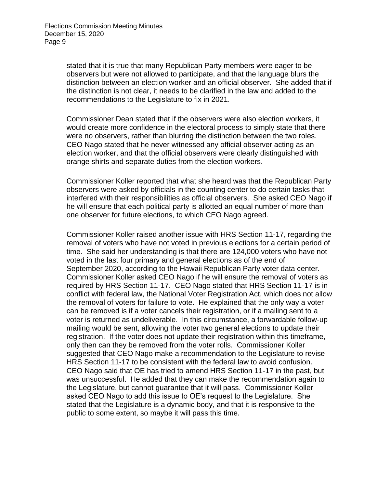stated that it is true that many Republican Party members were eager to be observers but were not allowed to participate, and that the language blurs the distinction between an election worker and an official observer. She added that if the distinction is not clear, it needs to be clarified in the law and added to the recommendations to the Legislature to fix in 2021.

Commissioner Dean stated that if the observers were also election workers, it would create more confidence in the electoral process to simply state that there were no observers, rather than blurring the distinction between the two roles. CEO Nago stated that he never witnessed any official observer acting as an election worker, and that the official observers were clearly distinguished with orange shirts and separate duties from the election workers.

Commissioner Koller reported that what she heard was that the Republican Party observers were asked by officials in the counting center to do certain tasks that interfered with their responsibilities as official observers. She asked CEO Nago if he will ensure that each political party is allotted an equal number of more than one observer for future elections, to which CEO Nago agreed.

Commissioner Koller raised another issue with HRS Section 11-17, regarding the removal of voters who have not voted in previous elections for a certain period of time. She said her understanding is that there are 124,000 voters who have not voted in the last four primary and general elections as of the end of September 2020, according to the Hawaii Republican Party voter data center. Commissioner Koller asked CEO Nago if he will ensure the removal of voters as required by HRS Section 11-17. CEO Nago stated that HRS Section 11-17 is in conflict with federal law, the National Voter Registration Act, which does not allow the removal of voters for failure to vote. He explained that the only way a voter can be removed is if a voter cancels their registration, or if a mailing sent to a voter is returned as undeliverable. In this circumstance, a forwardable follow-up mailing would be sent, allowing the voter two general elections to update their registration. If the voter does not update their registration within this timeframe, only then can they be removed from the voter rolls. Commissioner Koller suggested that CEO Nago make a recommendation to the Legislature to revise HRS Section 11-17 to be consistent with the federal law to avoid confusion. CEO Nago said that OE has tried to amend HRS Section 11-17 in the past, but was unsuccessful. He added that they can make the recommendation again to the Legislature, but cannot guarantee that it will pass. Commissioner Koller asked CEO Nago to add this issue to OE's request to the Legislature. She stated that the Legislature is a dynamic body, and that it is responsive to the public to some extent, so maybe it will pass this time.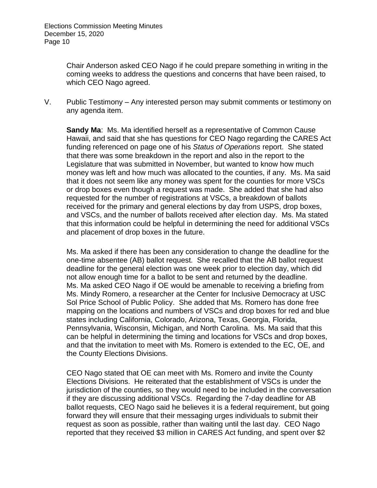Chair Anderson asked CEO Nago if he could prepare something in writing in the coming weeks to address the questions and concerns that have been raised, to which CEO Nago agreed.

V. Public Testimony – Any interested person may submit comments or testimony on any agenda item.

**Sandy Ma**: Ms. Ma identified herself as a representative of Common Cause Hawaii, and said that she has questions for CEO Nago regarding the CARES Act funding referenced on page one of his *Status of Operations* report. She stated that there was some breakdown in the report and also in the report to the Legislature that was submitted in November, but wanted to know how much money was left and how much was allocated to the counties, if any. Ms. Ma said that it does not seem like any money was spent for the counties for more VSCs or drop boxes even though a request was made. She added that she had also requested for the number of registrations at VSCs, a breakdown of ballots received for the primary and general elections by day from USPS, drop boxes, and VSCs, and the number of ballots received after election day. Ms. Ma stated that this information could be helpful in determining the need for additional VSCs and placement of drop boxes in the future.

Ms. Ma asked if there has been any consideration to change the deadline for the one-time absentee (AB) ballot request. She recalled that the AB ballot request deadline for the general election was one week prior to election day, which did not allow enough time for a ballot to be sent and returned by the deadline. Ms. Ma asked CEO Nago if OE would be amenable to receiving a briefing from Ms. Mindy Romero, a researcher at the Center for Inclusive Democracy at USC Sol Price School of Public Policy. She added that Ms. Romero has done free mapping on the locations and numbers of VSCs and drop boxes for red and blue states including California, Colorado, Arizona, Texas, Georgia, Florida, Pennsylvania, Wisconsin, Michigan, and North Carolina. Ms. Ma said that this can be helpful in determining the timing and locations for VSCs and drop boxes, and that the invitation to meet with Ms. Romero is extended to the EC, OE, and the County Elections Divisions.

CEO Nago stated that OE can meet with Ms. Romero and invite the County Elections Divisions. He reiterated that the establishment of VSCs is under the jurisdiction of the counties, so they would need to be included in the conversation if they are discussing additional VSCs. Regarding the 7-day deadline for AB ballot requests, CEO Nago said he believes it is a federal requirement, but going forward they will ensure that their messaging urges individuals to submit their request as soon as possible, rather than waiting until the last day. CEO Nago reported that they received \$3 million in CARES Act funding, and spent over \$2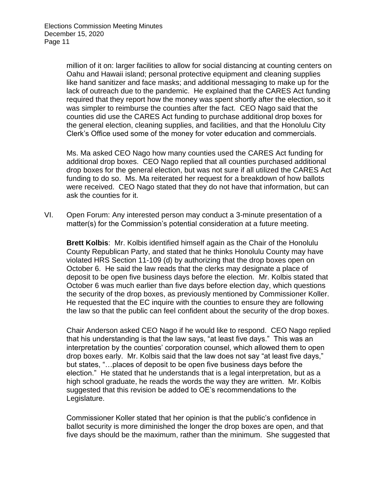million of it on: larger facilities to allow for social distancing at counting centers on Oahu and Hawaii island; personal protective equipment and cleaning supplies like hand sanitizer and face masks; and additional messaging to make up for the lack of outreach due to the pandemic. He explained that the CARES Act funding required that they report how the money was spent shortly after the election, so it was simpler to reimburse the counties after the fact. CEO Nago said that the counties did use the CARES Act funding to purchase additional drop boxes for the general election, cleaning supplies, and facilities, and that the Honolulu City Clerk's Office used some of the money for voter education and commercials.

Ms. Ma asked CEO Nago how many counties used the CARES Act funding for additional drop boxes. CEO Nago replied that all counties purchased additional drop boxes for the general election, but was not sure if all utilized the CARES Act funding to do so. Ms. Ma reiterated her request for a breakdown of how ballots were received. CEO Nago stated that they do not have that information, but can ask the counties for it.

VI. Open Forum: Any interested person may conduct a 3-minute presentation of a matter(s) for the Commission's potential consideration at a future meeting.

**Brett Kolbis**: Mr. Kolbis identified himself again as the Chair of the Honolulu County Republican Party, and stated that he thinks Honolulu County may have violated HRS Section 11-109 (d) by authorizing that the drop boxes open on October 6. He said the law reads that the clerks may designate a place of deposit to be open five business days before the election. Mr. Kolbis stated that October 6 was much earlier than five days before election day, which questions the security of the drop boxes, as previously mentioned by Commissioner Koller. He requested that the EC inquire with the counties to ensure they are following the law so that the public can feel confident about the security of the drop boxes.

Chair Anderson asked CEO Nago if he would like to respond. CEO Nago replied that his understanding is that the law says, "at least five days." This was an interpretation by the counties' corporation counsel, which allowed them to open drop boxes early. Mr. Kolbis said that the law does not say "at least five days," but states, "…places of deposit to be open five business days before the election." He stated that he understands that is a legal interpretation, but as a high school graduate, he reads the words the way they are written. Mr. Kolbis suggested that this revision be added to OE's recommendations to the Legislature.

Commissioner Koller stated that her opinion is that the public's confidence in ballot security is more diminished the longer the drop boxes are open, and that five days should be the maximum, rather than the minimum. She suggested that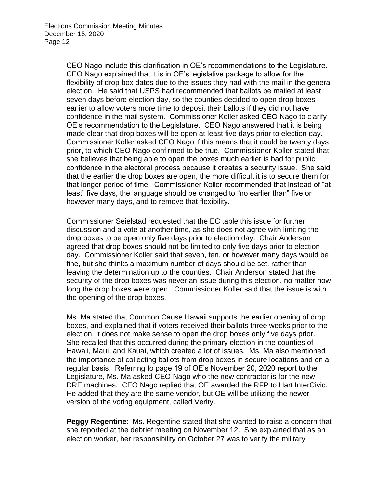CEO Nago include this clarification in OE's recommendations to the Legislature. CEO Nago explained that it is in OE's legislative package to allow for the flexibility of drop box dates due to the issues they had with the mail in the general election. He said that USPS had recommended that ballots be mailed at least seven days before election day, so the counties decided to open drop boxes earlier to allow voters more time to deposit their ballots if they did not have confidence in the mail system. Commissioner Koller asked CEO Nago to clarify OE's recommendation to the Legislature. CEO Nago answered that it is being made clear that drop boxes will be open at least five days prior to election day. Commissioner Koller asked CEO Nago if this means that it could be twenty days prior, to which CEO Nago confirmed to be true. Commissioner Koller stated that she believes that being able to open the boxes much earlier is bad for public confidence in the electoral process because it creates a security issue. She said that the earlier the drop boxes are open, the more difficult it is to secure them for that longer period of time. Commissioner Koller recommended that instead of "at least" five days, the language should be changed to "no earlier than" five or however many days, and to remove that flexibility.

Commissioner Seielstad requested that the EC table this issue for further discussion and a vote at another time, as she does not agree with limiting the drop boxes to be open only five days prior to election day. Chair Anderson agreed that drop boxes should not be limited to only five days prior to election day. Commissioner Koller said that seven, ten, or however many days would be fine, but she thinks a maximum number of days should be set, rather than leaving the determination up to the counties. Chair Anderson stated that the security of the drop boxes was never an issue during this election, no matter how long the drop boxes were open. Commissioner Koller said that the issue is with the opening of the drop boxes.

Ms. Ma stated that Common Cause Hawaii supports the earlier opening of drop boxes, and explained that if voters received their ballots three weeks prior to the election, it does not make sense to open the drop boxes only five days prior. She recalled that this occurred during the primary election in the counties of Hawaii, Maui, and Kauai, which created a lot of issues. Ms. Ma also mentioned the importance of collecting ballots from drop boxes in secure locations and on a regular basis. Referring to page 19 of OE's November 20, 2020 report to the Legislature, Ms. Ma asked CEO Nago who the new contractor is for the new DRE machines. CEO Nago replied that OE awarded the RFP to Hart InterCivic. He added that they are the same vendor, but OE will be utilizing the newer version of the voting equipment, called Verity.

**Peggy Regentine**: Ms. Regentine stated that she wanted to raise a concern that she reported at the debrief meeting on November 12. She explained that as an election worker, her responsibility on October 27 was to verify the military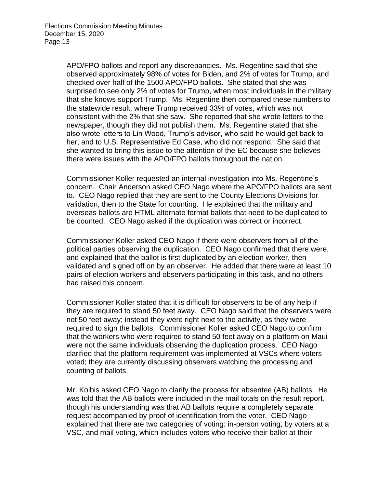APO/FPO ballots and report any discrepancies. Ms. Regentine said that she observed approximately 98% of votes for Biden, and 2% of votes for Trump, and checked over half of the 1500 APO/FPO ballots. She stated that she was surprised to see only 2% of votes for Trump, when most individuals in the military that she knows support Trump. Ms. Regentine then compared these numbers to the statewide result, where Trump received 33% of votes, which was not consistent with the 2% that she saw. She reported that she wrote letters to the newspaper, though they did not publish them. Ms. Regentine stated that she also wrote letters to Lin Wood, Trump's advisor, who said he would get back to her, and to U.S. Representative Ed Case, who did not respond. She said that she wanted to bring this issue to the attention of the EC because she believes there were issues with the APO/FPO ballots throughout the nation.

Commissioner Koller requested an internal investigation into Ms. Regentine's concern. Chair Anderson asked CEO Nago where the APO/FPO ballots are sent to. CEO Nago replied that they are sent to the County Elections Divisions for validation, then to the State for counting. He explained that the military and overseas ballots are HTML alternate format ballots that need to be duplicated to be counted. CEO Nago asked if the duplication was correct or incorrect.

Commissioner Koller asked CEO Nago if there were observers from all of the political parties observing the duplication. CEO Nago confirmed that there were, and explained that the ballot is first duplicated by an election worker, then validated and signed off on by an observer. He added that there were at least 10 pairs of election workers and observers participating in this task, and no others had raised this concern.

Commissioner Koller stated that it is difficult for observers to be of any help if they are required to stand 50 feet away. CEO Nago said that the observers were not 50 feet away; instead they were right next to the activity, as they were required to sign the ballots. Commissioner Koller asked CEO Nago to confirm that the workers who were required to stand 50 feet away on a platform on Maui were not the same individuals observing the duplication process. CEO Nago clarified that the platform requirement was implemented at VSCs where voters voted; they are currently discussing observers watching the processing and counting of ballots.

Mr. Kolbis asked CEO Nago to clarify the process for absentee (AB) ballots. He was told that the AB ballots were included in the mail totals on the result report, though his understanding was that AB ballots require a completely separate request accompanied by proof of identification from the voter. CEO Nago explained that there are two categories of voting: in-person voting, by voters at a VSC, and mail voting, which includes voters who receive their ballot at their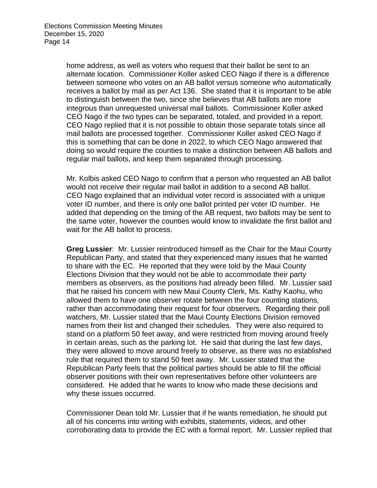home address, as well as voters who request that their ballot be sent to an alternate location. Commissioner Koller asked CEO Nago if there is a difference between someone who votes on an AB ballot versus someone who automatically receives a ballot by mail as per Act 136. She stated that it is important to be able to distinguish between the two, since she believes that AB ballots are more integrous than unrequested universal mail ballots. Commissioner Koller asked CEO Nago if the two types can be separated, totaled, and provided in a report. CEO Nago replied that it is not possible to obtain those separate totals since all mail ballots are processed together. Commissioner Koller asked CEO Nago if this is something that can be done in 2022, to which CEO Nago answered that doing so would require the counties to make a distinction between AB ballots and regular mail ballots, and keep them separated through processing.

Mr. Kolbis asked CEO Nago to confirm that a person who requested an AB ballot would not receive their regular mail ballot in addition to a second AB ballot. CEO Nago explained that an individual voter record is associated with a unique voter ID number, and there is only one ballot printed per voter ID number. He added that depending on the timing of the AB request, two ballots may be sent to the same voter, however the counties would know to invalidate the first ballot and wait for the AB ballot to process.

**Greg Lussier**: Mr. Lussier reintroduced himself as the Chair for the Maui County Republican Party, and stated that they experienced many issues that he wanted to share with the EC. He reported that they were told by the Maui County Elections Division that they would not be able to accommodate their party members as observers, as the positions had already been filled. Mr. Lussier said that he raised his concern with new Maui County Clerk, Ms. Kathy Kaohu, who allowed them to have one observer rotate between the four counting stations, rather than accommodating their request for four observers. Regarding their poll watchers, Mr. Lussier stated that the Maui County Elections Division removed names from their list and changed their schedules. They were also required to stand on a platform 50 feet away, and were restricted from moving around freely in certain areas, such as the parking lot. He said that during the last few days, they were allowed to move around freely to observe, as there was no established rule that required them to stand 50 feet away. Mr. Lussier stated that the Republican Party feels that the political parties should be able to fill the official observer positions with their own representatives before other volunteers are considered. He added that he wants to know who made these decisions and why these issues occurred.

Commissioner Dean told Mr. Lussier that if he wants remediation, he should put all of his concerns into writing with exhibits, statements, videos, and other corroborating data to provide the EC with a formal report. Mr. Lussier replied that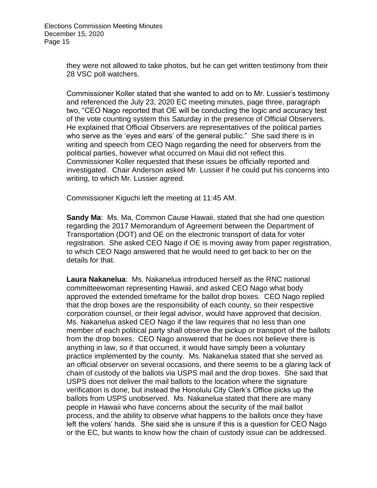they were not allowed to take photos, but he can get written testimony from their 28 VSC poll watchers.

Commissioner Koller stated that she wanted to add on to Mr. Lussier's testimony and referenced the July 23, 2020 EC meeting minutes, page three, paragraph two, "CEO Nago reported that OE will be conducting the logic and accuracy test of the vote counting system this Saturday in the presence of Official Observers. He explained that Official Observers are representatives of the political parties who serve as the 'eyes and ears' of the general public." She said there is in writing and speech from CEO Nago regarding the need for observers from the political parties, however what occurred on Maui did not reflect this. Commissioner Koller requested that these issues be officially reported and investigated. Chair Anderson asked Mr. Lussier if he could put his concerns into writing, to which Mr. Lussier agreed.

Commissioner Kiguchi left the meeting at 11:45 AM.

**Sandy Ma**: Ms. Ma, Common Cause Hawaii, stated that she had one question regarding the 2017 Memorandum of Agreement between the Department of Transportation (DOT) and OE on the electronic transport of data for voter registration. She asked CEO Nago if OE is moving away from paper registration, to which CEO Nago answered that he would need to get back to her on the details for that.

**Laura Nakanelua**: Ms. Nakanelua introduced herself as the RNC national committeewoman representing Hawaii, and asked CEO Nago what body approved the extended timeframe for the ballot drop boxes. CEO Nago replied that the drop boxes are the responsibility of each county, so their respective corporation counsel, or their legal advisor, would have approved that decision. Ms. Nakanelua asked CEO Nago if the law requires that no less than one member of each political party shall observe the pickup or transport of the ballots from the drop boxes. CEO Nago answered that he does not believe there is anything in law, so if that occurred, it would have simply been a voluntary practice implemented by the county. Ms. Nakanelua stated that she served as an official observer on several occasions, and there seems to be a glaring lack of chain of custody of the ballots via USPS mail and the drop boxes. She said that USPS does not deliver the mail ballots to the location where the signature verification is done, but instead the Honolulu City Clerk's Office picks up the ballots from USPS unobserved. Ms. Nakanelua stated that there are many people in Hawaii who have concerns about the security of the mail ballot process, and the ability to observe what happens to the ballots once they have left the voters' hands. She said she is unsure if this is a question for CEO Nago or the EC, but wants to know how the chain of custody issue can be addressed.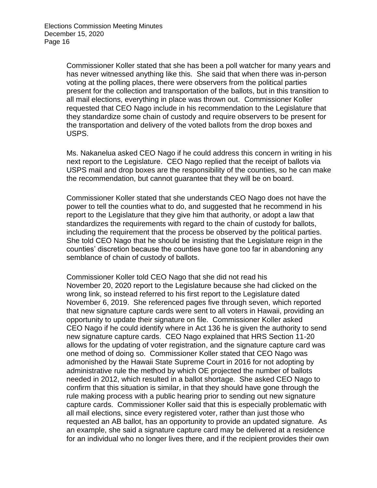Commissioner Koller stated that she has been a poll watcher for many years and has never witnessed anything like this. She said that when there was in-person voting at the polling places, there were observers from the political parties present for the collection and transportation of the ballots, but in this transition to all mail elections, everything in place was thrown out. Commissioner Koller requested that CEO Nago include in his recommendation to the Legislature that they standardize some chain of custody and require observers to be present for the transportation and delivery of the voted ballots from the drop boxes and USPS.

Ms. Nakanelua asked CEO Nago if he could address this concern in writing in his next report to the Legislature. CEO Nago replied that the receipt of ballots via USPS mail and drop boxes are the responsibility of the counties, so he can make the recommendation, but cannot guarantee that they will be on board.

Commissioner Koller stated that she understands CEO Nago does not have the power to tell the counties what to do, and suggested that he recommend in his report to the Legislature that they give him that authority, or adopt a law that standardizes the requirements with regard to the chain of custody for ballots, including the requirement that the process be observed by the political parties. She told CEO Nago that he should be insisting that the Legislature reign in the counties' discretion because the counties have gone too far in abandoning any semblance of chain of custody of ballots.

Commissioner Koller told CEO Nago that she did not read his November 20, 2020 report to the Legislature because she had clicked on the wrong link, so instead referred to his first report to the Legislature dated November 6, 2019. She referenced pages five through seven, which reported that new signature capture cards were sent to all voters in Hawaii, providing an opportunity to update their signature on file. Commissioner Koller asked CEO Nago if he could identify where in Act 136 he is given the authority to send new signature capture cards. CEO Nago explained that HRS Section 11-20 allows for the updating of voter registration, and the signature capture card was one method of doing so. Commissioner Koller stated that CEO Nago was admonished by the Hawaii State Supreme Court in 2016 for not adopting by administrative rule the method by which OE projected the number of ballots needed in 2012, which resulted in a ballot shortage. She asked CEO Nago to confirm that this situation is similar, in that they should have gone through the rule making process with a public hearing prior to sending out new signature capture cards. Commissioner Koller said that this is especially problematic with all mail elections, since every registered voter, rather than just those who requested an AB ballot, has an opportunity to provide an updated signature. As an example, she said a signature capture card may be delivered at a residence for an individual who no longer lives there, and if the recipient provides their own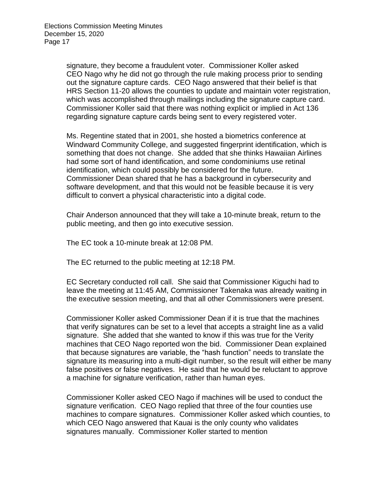signature, they become a fraudulent voter. Commissioner Koller asked CEO Nago why he did not go through the rule making process prior to sending out the signature capture cards. CEO Nago answered that their belief is that HRS Section 11-20 allows the counties to update and maintain voter registration, which was accomplished through mailings including the signature capture card. Commissioner Koller said that there was nothing explicit or implied in Act 136 regarding signature capture cards being sent to every registered voter.

Ms. Regentine stated that in 2001, she hosted a biometrics conference at Windward Community College, and suggested fingerprint identification, which is something that does not change. She added that she thinks Hawaiian Airlines had some sort of hand identification, and some condominiums use retinal identification, which could possibly be considered for the future. Commissioner Dean shared that he has a background in cybersecurity and software development, and that this would not be feasible because it is very difficult to convert a physical characteristic into a digital code.

Chair Anderson announced that they will take a 10-minute break, return to the public meeting, and then go into executive session.

The EC took a 10-minute break at 12:08 PM.

The EC returned to the public meeting at 12:18 PM.

EC Secretary conducted roll call. She said that Commissioner Kiguchi had to leave the meeting at 11:45 AM, Commissioner Takenaka was already waiting in the executive session meeting, and that all other Commissioners were present.

Commissioner Koller asked Commissioner Dean if it is true that the machines that verify signatures can be set to a level that accepts a straight line as a valid signature. She added that she wanted to know if this was true for the Verity machines that CEO Nago reported won the bid. Commissioner Dean explained that because signatures are variable, the "hash function" needs to translate the signature its measuring into a multi-digit number, so the result will either be many false positives or false negatives. He said that he would be reluctant to approve a machine for signature verification, rather than human eyes.

Commissioner Koller asked CEO Nago if machines will be used to conduct the signature verification. CEO Nago replied that three of the four counties use machines to compare signatures. Commissioner Koller asked which counties, to which CEO Nago answered that Kauai is the only county who validates signatures manually. Commissioner Koller started to mention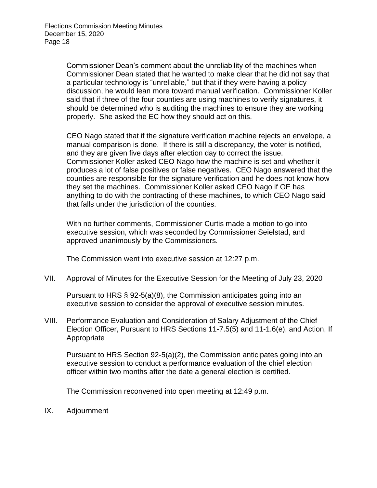Commissioner Dean's comment about the unreliability of the machines when Commissioner Dean stated that he wanted to make clear that he did not say that a particular technology is "unreliable," but that if they were having a policy discussion, he would lean more toward manual verification. Commissioner Koller said that if three of the four counties are using machines to verify signatures, it should be determined who is auditing the machines to ensure they are working properly. She asked the EC how they should act on this.

CEO Nago stated that if the signature verification machine rejects an envelope, a manual comparison is done. If there is still a discrepancy, the voter is notified, and they are given five days after election day to correct the issue. Commissioner Koller asked CEO Nago how the machine is set and whether it produces a lot of false positives or false negatives. CEO Nago answered that the counties are responsible for the signature verification and he does not know how they set the machines. Commissioner Koller asked CEO Nago if OE has anything to do with the contracting of these machines, to which CEO Nago said that falls under the jurisdiction of the counties.

With no further comments, Commissioner Curtis made a motion to go into executive session, which was seconded by Commissioner Seielstad, and approved unanimously by the Commissioners.

The Commission went into executive session at 12:27 p.m.

VII. Approval of Minutes for the Executive Session for the Meeting of July 23, 2020

Pursuant to HRS § 92-5(a)(8), the Commission anticipates going into an executive session to consider the approval of executive session minutes.

VIII. Performance Evaluation and Consideration of Salary Adjustment of the Chief Election Officer, Pursuant to HRS Sections 11-7.5(5) and 11-1.6(e), and Action, If Appropriate

Pursuant to HRS Section 92-5(a)(2), the Commission anticipates going into an executive session to conduct a performance evaluation of the chief election officer within two months after the date a general election is certified.

The Commission reconvened into open meeting at 12:49 p.m.

IX. Adjournment